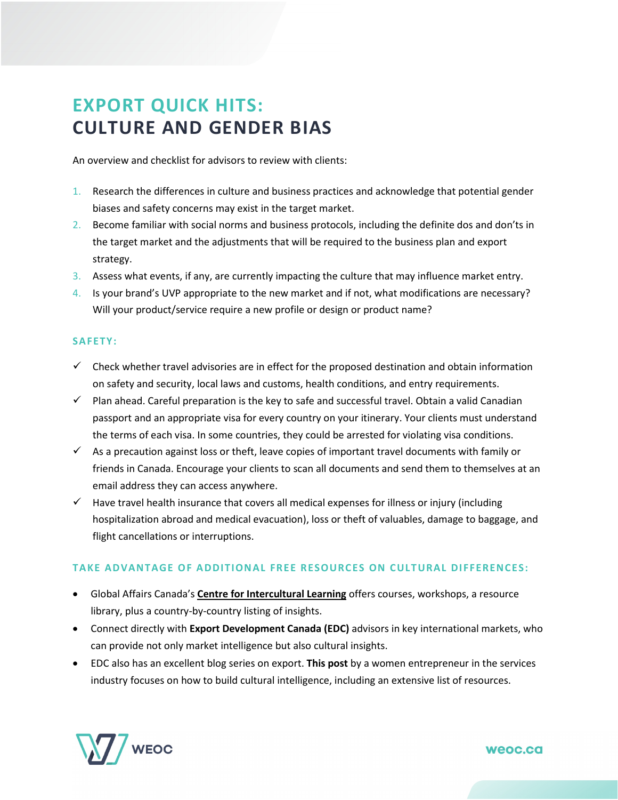## **EXPORT QUICK HITS: CULTURE AND GENDER BIAS**

An overview and checklist for advisors to review with clients:

- 1. Research the differences in culture and business practices and acknowledge that potential gender biases and safety concerns may exist in the target market.
- 2. Become familiar with social norms and business protocols, including the definite dos and don'ts in the target market and the adjustments that will be required to the business plan and export strategy.
- 3. Assess what events, if any, are currently impacting the culture that may influence market entry.
- 4. Is your brand's UVP appropriate to the new market and if not, what modifications are necessary? Will your product/service require a new profile or design or product name?

## **SAFETY:**

- $\checkmark$  Check whether travel adviso[ries](https://travel.gc.ca/countries_pays/menu-eng.asp) are in effect for the proposed destination and obtain information on safety and security, local laws and customs, health conditions, and entry requirements.
- $\checkmark$  Plan ahead. Careful preparation is the key to safe and successful travel. Obtain a valid Canadian passport and an appropriate visa for every country on your itinerary. Your clients must understand the terms of each visa. In some countries, they could be arrested for violating visa conditions.
- $\checkmark$  As a precaution against loss or theft, leave copies of important travel documents with family or friends in Canada. Encourage your clients to scan all documents and send them to themselves at an email address they can access anywhere.
- $\checkmark$  Have travel health insurance that covers all medical expenses for illness or injury (including hospitalization abroad and medical evacuation), loss or theft of valuables, damage to baggage, and flight cancellations or interruptions.

## **TAKE ADVANTAGE OF ADDITIONAL FREE RESOURCES ON CULTURAL DIFFERENCES:**

- Global Affairs Canada's **[Centre for Intercultural Learning](https://www.international.gc.ca/global-affairs-affaires-mondiales/services/cfsi-icse/programs-programmes/intercultural-interculturelle.aspx?lang=eng)** offers courses, workshops, a resource library, plus a country-by-country listing of insights.
- Connect directly with **[Export Development Canada \(EDC\)](https://www.edc.ca/)** advisors in key international markets, who can provide not only market intelligence but also cultural insights.
- EDC also has an excellent blog series on export. **[This post](https://www.edc.ca/en/blog/cultural-intelligence-helps-service-exports.html)** by a women entrepreneur in the services industry focuses on how to build cultural intelligence, including an extensive list of resources.



weoc.ca